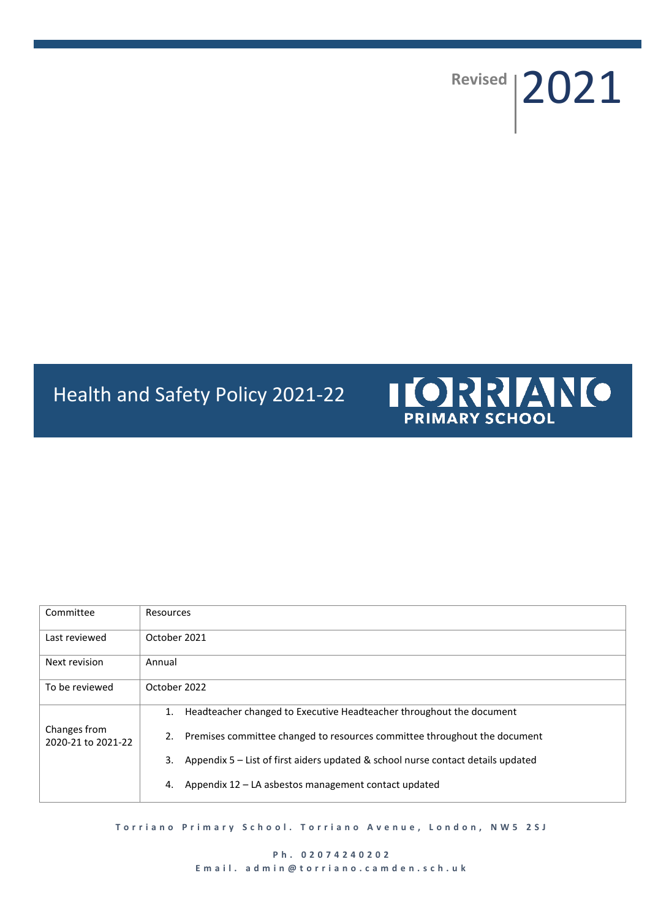# Revised | 2021

# Health and Safety Policy 2021-22



| Committee                          | Resources                                                                              |  |  |
|------------------------------------|----------------------------------------------------------------------------------------|--|--|
| Last reviewed                      | October 2021                                                                           |  |  |
| Next revision                      | Annual                                                                                 |  |  |
| To be reviewed                     | October 2022                                                                           |  |  |
|                                    | Headteacher changed to Executive Headteacher throughout the document<br>1.             |  |  |
| Changes from<br>2020-21 to 2021-22 | Premises committee changed to resources committee throughout the document<br>2.        |  |  |
|                                    | 3.<br>Appendix 5 – List of first aiders updated & school nurse contact details updated |  |  |
|                                    | Appendix 12 – LA asbestos management contact updated<br>4.                             |  |  |

**T o r r i a n o P r i m a r y S c h o o l . T o r r i a n o A v e n u e , L o n d o n , N W 5 2 S J**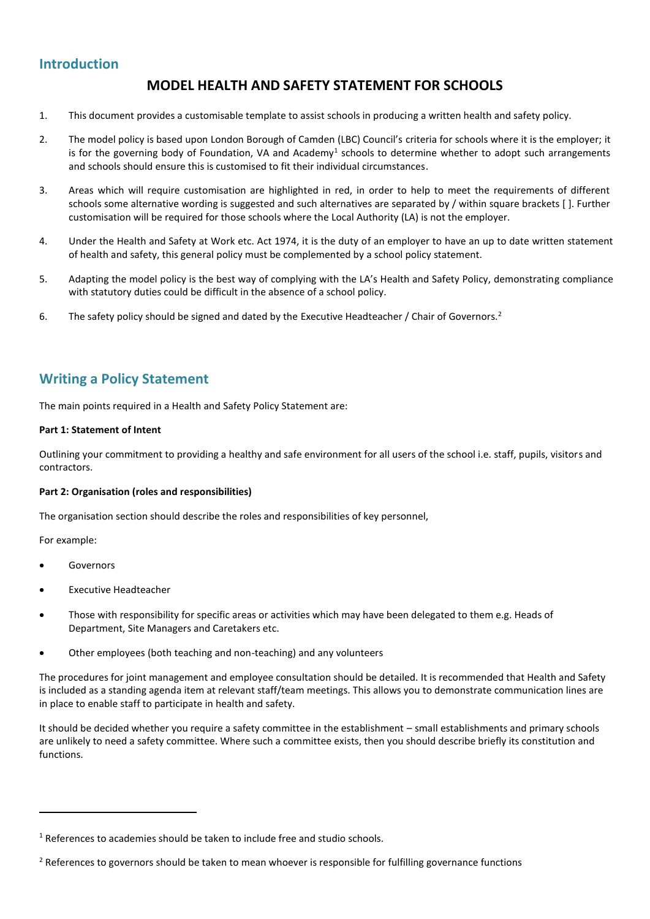### **Introduction**

# **MODEL HEALTH AND SAFETY STATEMENT FOR SCHOOLS**

- 1. This document provides a customisable template to assist schools in producing a written health and safety policy.
- 2. The model policy is based upon London Borough of Camden (LBC) Council's criteria for schools where it is the employer; it is for the governing body of Foundation, VA and Academy<sup>1</sup> schools to determine whether to adopt such arrangements and schools should ensure this is customised to fit their individual circumstances.
- 3. Areas which will require customisation are highlighted in red, in order to help to meet the requirements of different schools some alternative wording is suggested and such alternatives are separated by / within square brackets [ ]. Further customisation will be required for those schools where the Local Authority (LA) is not the employer.
- 4. Under the Health and Safety at Work etc. Act 1974, it is the duty of an employer to have an up to date written statement of health and safety, this general policy must be complemented by a school policy statement.
- 5. Adapting the model policy is the best way of complying with the LA's Health and Safety Policy, demonstrating compliance with statutory duties could be difficult in the absence of a school policy.
- 6. The safety policy should be signed and dated by the Executive Headteacher / Chair of Governors.<sup>2</sup>

## **Writing a Policy Statement**

The main points required in a Health and Safety Policy Statement are:

#### **Part 1: Statement of Intent**

Outlining your commitment to providing a healthy and safe environment for all users of the school i.e. staff, pupils, visitors and contractors.

#### **Part 2: Organisation (roles and responsibilities)**

The organisation section should describe the roles and responsibilities of key personnel,

For example:

1

- Governors
- Executive Headteacher
- Those with responsibility for specific areas or activities which may have been delegated to them e.g. Heads of Department, Site Managers and Caretakers etc.
- Other employees (both teaching and non-teaching) and any volunteers

The procedures for joint management and employee consultation should be detailed. It is recommended that Health and Safety is included as a standing agenda item at relevant staff/team meetings. This allows you to demonstrate communication lines are in place to enable staff to participate in health and safety.

It should be decided whether you require a safety committee in the establishment – small establishments and primary schools are unlikely to need a safety committee. Where such a committee exists, then you should describe briefly its constitution and functions.

<sup>&</sup>lt;sup>1</sup> References to academies should be taken to include free and studio schools.

<sup>&</sup>lt;sup>2</sup> References to governors should be taken to mean whoever is responsible for fulfilling governance functions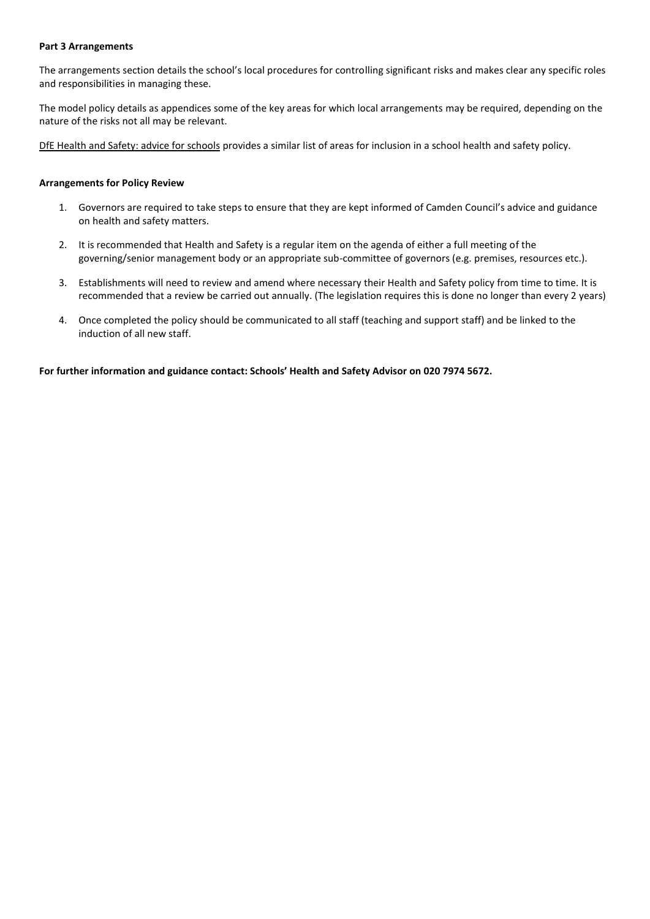#### **Part 3 Arrangements**

The arrangements section details the school's local procedures for controlling significant risks and makes clear any specific roles and responsibilities in managing these.

The model policy details as appendices some of the key areas for which local arrangements may be required, depending on the nature of the risks not all may be relevant.

[DfE Health and Safety: advice for schools](https://www.gov.uk/government/publications/health-and-safety-advice-for-schools) provides a similar list of areas for inclusion in a school health and safety policy.

#### **Arrangements for Policy Review**

- 1. Governors are required to take steps to ensure that they are kept informed of Camden Council's advice and guidance on health and safety matters.
- 2. It is recommended that Health and Safety is a regular item on the agenda of either a full meeting of the governing/senior management body or an appropriate sub-committee of governors (e.g. premises, resources etc.).
- 3. Establishments will need to review and amend where necessary their Health and Safety policy from time to time. It is recommended that a review be carried out annually. (The legislation requires this is done no longer than every 2 years)
- 4. Once completed the policy should be communicated to all staff (teaching and support staff) and be linked to the induction of all new staff.

**For further information and guidance contact: Schools' Health and Safety Advisor on 020 7974 5672.**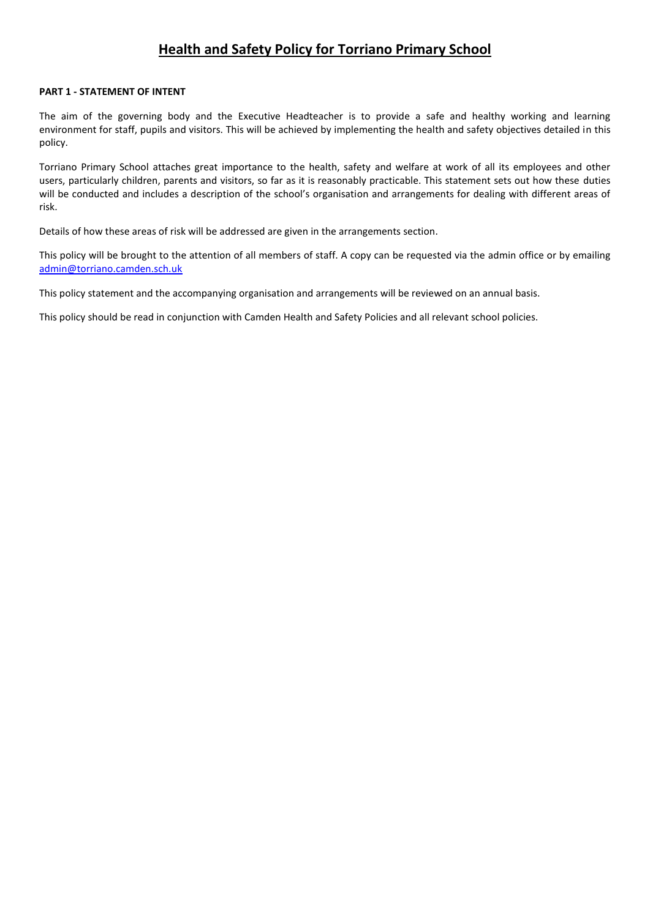# **Health and Safety Policy for Torriano Primary School**

#### **PART 1 - STATEMENT OF INTENT**

The aim of the governing body and the Executive Headteacher is to provide a safe and healthy working and learning environment for staff, pupils and visitors. This will be achieved by implementing the health and safety objectives detailed in this policy.

Torriano Primary School attaches great importance to the health, safety and welfare at work of all its employees and other users, particularly children, parents and visitors, so far as it is reasonably practicable. This statement sets out how these duties will be conducted and includes a description of the school's organisation and arrangements for dealing with different areas of risk.

Details of how these areas of risk will be addressed are given in the arrangements section.

This policy will be brought to the attention of all members of staff. A copy can be requested via the admin office or by emailing [admin@torriano.camden.sch.uk](mailto:admin@torriano.camden.sch.uk)

This policy statement and the accompanying organisation and arrangements will be reviewed on an annual basis.

This policy should be read in conjunction with Camden Health and Safety Policies and all relevant school policies.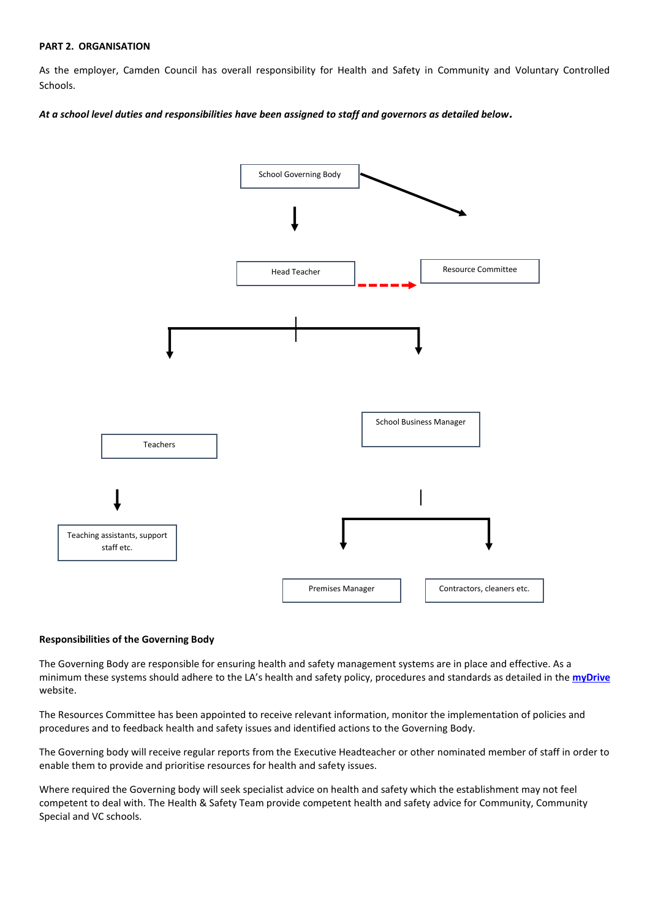#### **PART 2. ORGANISATION**

As the employer, Camden Council has overall responsibility for Health and Safety in Community and Voluntary Controlled Schools.

*At a school level duties and responsibilities have been assigned to staff and governors as detailed below.*



#### **Responsibilities of the Governing Body**

The Governing Body are responsible for ensuring health and safety management systems are in place and effective. As a minimum these systems should adhere to the LA's health and safety policy, procedures and standards as detailed in the **[myDrive](https://my.uso.im/drive/folder/0)** website.

The Resources Committee has been appointed to receive relevant information, monitor the implementation of policies and procedures and to feedback health and safety issues and identified actions to the Governing Body.

The Governing body will receive regular reports from the Executive Headteacher or other nominated member of staff in order to enable them to provide and prioritise resources for health and safety issues.

Where required the Governing body will seek specialist advice on health and safety which the establishment may not feel competent to deal with. The Health & Safety Team provide competent health and safety advice for Community, Community Special and VC schools.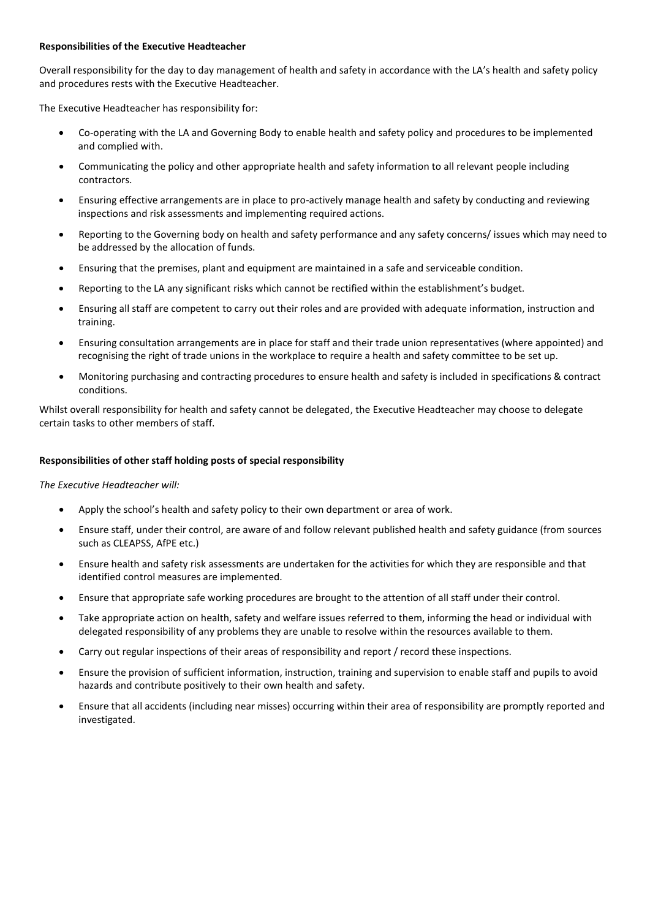#### **Responsibilities of the Executive Headteacher**

Overall responsibility for the day to day management of health and safety in accordance with the LA's health and safety policy and procedures rests with the Executive Headteacher.

The Executive Headteacher has responsibility for:

- Co-operating with the LA and Governing Body to enable health and safety policy and procedures to be implemented and complied with.
- Communicating the policy and other appropriate health and safety information to all relevant people including contractors.
- Ensuring effective arrangements are in place to pro-actively manage health and safety by conducting and reviewing inspections and risk assessments and implementing required actions.
- Reporting to the Governing body on health and safety performance and any safety concerns/ issues which may need to be addressed by the allocation of funds.
- Ensuring that the premises, plant and equipment are maintained in a safe and serviceable condition.
- Reporting to the LA any significant risks which cannot be rectified within the establishment's budget.
- Ensuring all staff are competent to carry out their roles and are provided with adequate information, instruction and training.
- Ensuring consultation arrangements are in place for staff and their trade union representatives (where appointed) and recognising the right of trade unions in the workplace to require a health and safety committee to be set up.
- Monitoring purchasing and contracting procedures to ensure health and safety is included in specifications & contract conditions.

Whilst overall responsibility for health and safety cannot be delegated, the Executive Headteacher may choose to delegate certain tasks to other members of staff.

#### **Responsibilities of other staff holding posts of special responsibility**

*The Executive Headteacher will:* 

- Apply the school's health and safety policy to their own department or area of work.
- Ensure staff, under their control, are aware of and follow relevant published health and safety guidance (from sources such as CLEAPSS, AfPE etc.)
- Ensure health and safety risk assessments are undertaken for the activities for which they are responsible and that identified control measures are implemented.
- Ensure that appropriate safe working procedures are brought to the attention of all staff under their control.
- Take appropriate action on health, safety and welfare issues referred to them, informing the head or individual with delegated responsibility of any problems they are unable to resolve within the resources available to them.
- Carry out regular inspections of their areas of responsibility and report / record these inspections.
- Ensure the provision of sufficient information, instruction, training and supervision to enable staff and pupils to avoid hazards and contribute positively to their own health and safety.
- Ensure that all accidents (including near misses) occurring within their area of responsibility are promptly reported and investigated.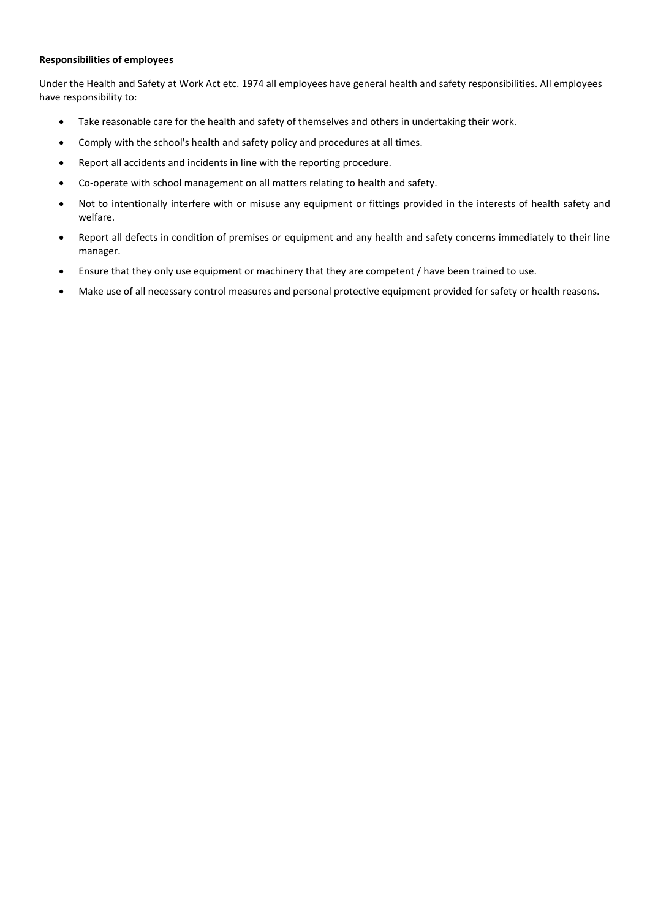#### **Responsibilities of employees**

Under the Health and Safety at Work Act etc. 1974 all employees have general health and safety responsibilities. All employees have responsibility to:

- Take reasonable care for the health and safety of themselves and others in undertaking their work.
- Comply with the school's health and safety policy and procedures at all times.
- Report all accidents and incidents in line with the reporting procedure.
- Co-operate with school management on all matters relating to health and safety.
- Not to intentionally interfere with or misuse any equipment or fittings provided in the interests of health safety and welfare.
- Report all defects in condition of premises or equipment and any health and safety concerns immediately to their line manager.
- Ensure that they only use equipment or machinery that they are competent / have been trained to use.
- Make use of all necessary control measures and personal protective equipment provided for safety or health reasons.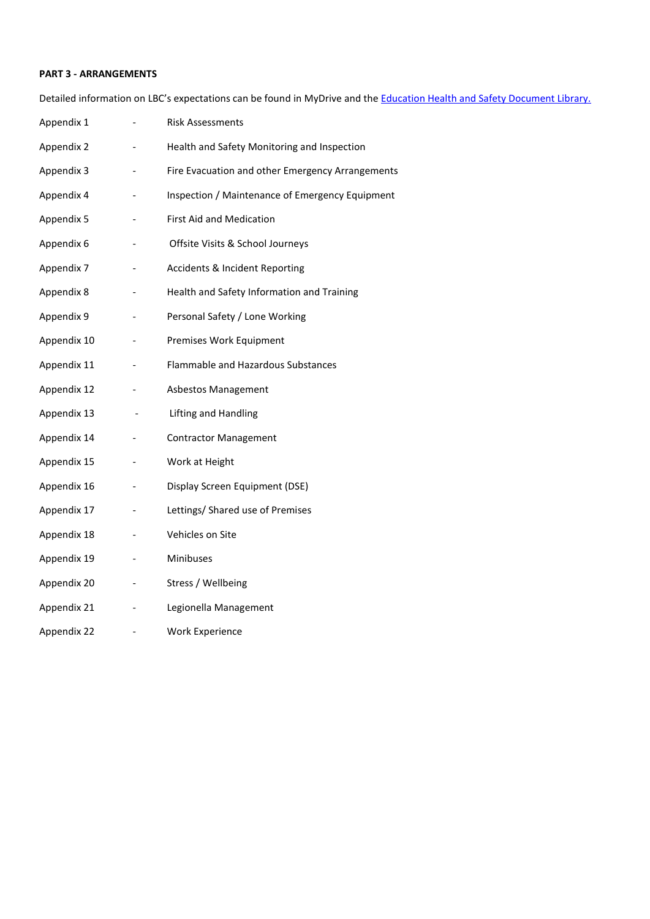#### **PART 3 - ARRANGEMENTS**

Detailed information on LBC's expectations can be found in MyDrive and the **Education Health and Safety Document Library**.

| Appendix 1  | <b>Risk Assessments</b>                          |
|-------------|--------------------------------------------------|
| Appendix 2  | Health and Safety Monitoring and Inspection      |
| Appendix 3  | Fire Evacuation and other Emergency Arrangements |
| Appendix 4  | Inspection / Maintenance of Emergency Equipment  |
| Appendix 5  | <b>First Aid and Medication</b>                  |
| Appendix 6  | Offsite Visits & School Journeys                 |
| Appendix 7  | <b>Accidents &amp; Incident Reporting</b>        |
| Appendix 8  | Health and Safety Information and Training       |
| Appendix 9  | Personal Safety / Lone Working                   |
| Appendix 10 | Premises Work Equipment                          |
| Appendix 11 | Flammable and Hazardous Substances               |
| Appendix 12 | Asbestos Management                              |
| Appendix 13 | Lifting and Handling                             |
| Appendix 14 | <b>Contractor Management</b>                     |
| Appendix 15 | Work at Height                                   |
| Appendix 16 | Display Screen Equipment (DSE)                   |
| Appendix 17 | Lettings/ Shared use of Premises                 |
| Appendix 18 | Vehicles on Site                                 |
| Appendix 19 | Minibuses                                        |
| Appendix 20 | Stress / Wellbeing                               |
| Appendix 21 | Legionella Management                            |
| Appendix 22 | <b>Work Experience</b>                           |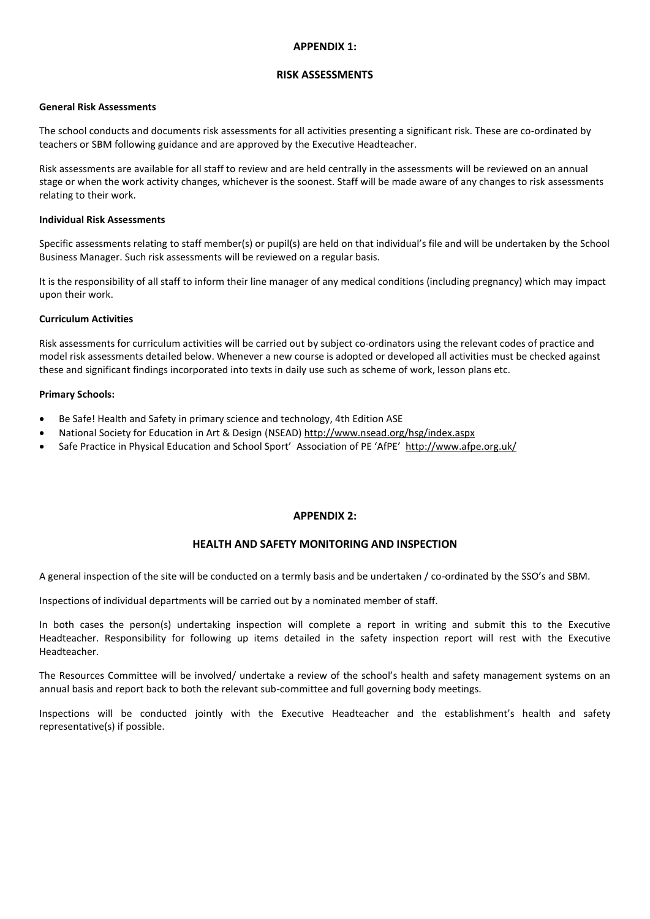#### **APPENDIX 1:**

#### **RISK ASSESSMENTS**

#### **General Risk Assessments**

The school conducts and documents risk assessments for all activities presenting a significant risk. These are co-ordinated by teachers or SBM following guidance and are approved by the Executive Headteacher.

Risk assessments are available for all staff to review and are held centrally in the assessments will be reviewed on an annual stage or when the work activity changes, whichever is the soonest. Staff will be made aware of any changes to risk assessments relating to their work.

#### **Individual Risk Assessments**

Specific assessments relating to staff member(s) or pupil(s) are held on that individual's file and will be undertaken by the School Business Manager. Such risk assessments will be reviewed on a regular basis.

It is the responsibility of all staff to inform their line manager of any medical conditions (including pregnancy) which may impact upon their work.

#### **Curriculum Activities**

Risk assessments for curriculum activities will be carried out by subject co-ordinators using the relevant codes of practice and model risk assessments detailed below. Whenever a new course is adopted or developed all activities must be checked against these and significant findings incorporated into texts in daily use such as scheme of work, lesson plans etc.

#### **Primary Schools:**

- Be Safe! Health and Safety in primary science and technology, 4th Edition ASE
- National Society for Education in Art & Design (NSEAD) <http://www.nsead.org/hsg/index.aspx>
- Safe Practice in Physical Education and School Sport' Association of PE 'AfPE' <http://www.afpe.org.uk/>

#### **APPENDIX 2:**

#### **HEALTH AND SAFETY MONITORING AND INSPECTION**

A general inspection of the site will be conducted on a termly basis and be undertaken / co-ordinated by the SSO's and SBM.

Inspections of individual departments will be carried out by a nominated member of staff.

In both cases the person(s) undertaking inspection will complete a report in writing and submit this to the Executive Headteacher. Responsibility for following up items detailed in the safety inspection report will rest with the Executive Headteacher.

The Resources Committee will be involved/ undertake a review of the school's health and safety management systems on an annual basis and report back to both the relevant sub-committee and full governing body meetings.

Inspections will be conducted jointly with the Executive Headteacher and the establishment's health and safety representative(s) if possible.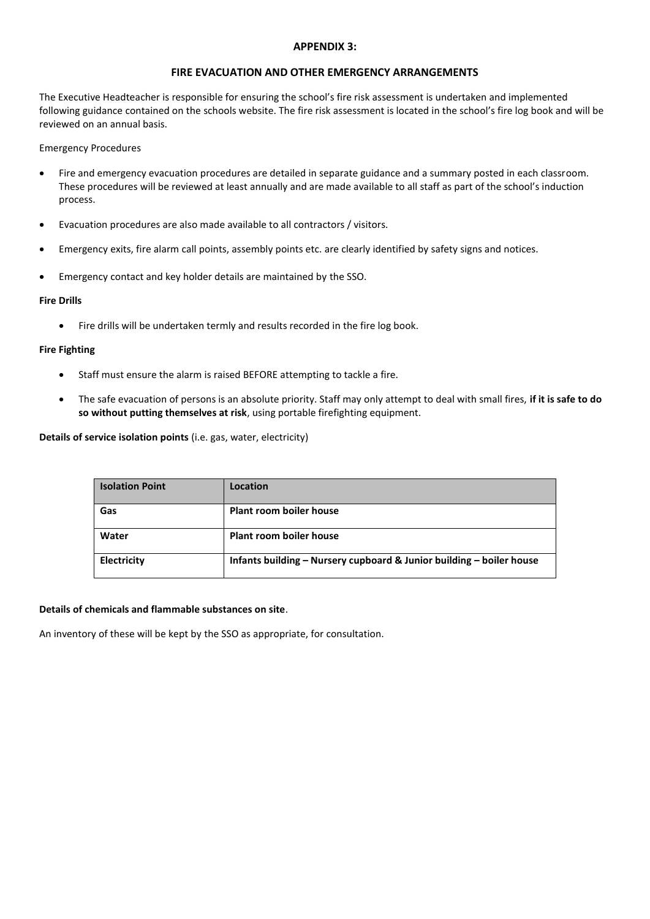#### **APPENDIX 3:**

#### **FIRE EVACUATION AND OTHER EMERGENCY ARRANGEMENTS**

The Executive Headteacher is responsible for ensuring the school's fire risk assessment is undertaken and implemented following guidance contained on the schools website. The fire risk assessment is located in the school's fire log book and will be reviewed on an annual basis.

#### Emergency Procedures

- Fire and emergency evacuation procedures are detailed in separate guidance and a summary posted in each classroom. These procedures will be reviewed at least annually and are made available to all staff as part of the school's induction process.
- Evacuation procedures are also made available to all contractors / visitors.
- Emergency exits, fire alarm call points, assembly points etc. are clearly identified by safety signs and notices.
- Emergency contact and key holder details are maintained by the SSO.

#### **Fire Drills**

Fire drills will be undertaken termly and results recorded in the fire log book.

#### **Fire Fighting**

- Staff must ensure the alarm is raised BEFORE attempting to tackle a fire.
- The safe evacuation of persons is an absolute priority. Staff may only attempt to deal with small fires, **if it is safe to do so without putting themselves at risk**, using portable firefighting equipment.

**Details of service isolation points** (i.e. gas, water, electricity)

| <b>Isolation Point</b> | Location                                                             |
|------------------------|----------------------------------------------------------------------|
| Gas                    | Plant room boiler house                                              |
| Water                  | Plant room boiler house                                              |
| Electricity            | Infants building – Nursery cupboard & Junior building – boiler house |

#### **Details of chemicals and flammable substances on site**.

An inventory of these will be kept by the SSO as appropriate, for consultation.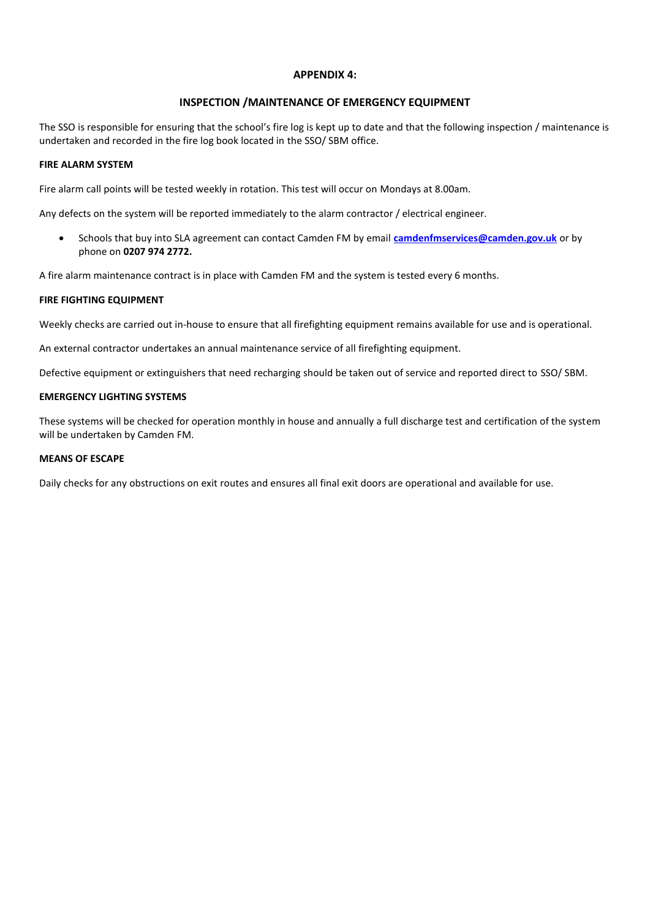#### **APPENDIX 4:**

#### **INSPECTION /MAINTENANCE OF EMERGENCY EQUIPMENT**

The SSO is responsible for ensuring that the school's fire log is kept up to date and that the following inspection / maintenance is undertaken and recorded in the fire log book located in the SSO/ SBM office.

#### **FIRE ALARM SYSTEM**

Fire alarm call points will be tested weekly in rotation. This test will occur on Mondays at 8.00am.

Any defects on the system will be reported immediately to the alarm contractor / electrical engineer.

 Schools that buy into SLA agreement can contact Camden FM by email **[camdenfmservices@camden.gov.uk](mailto:camdenfmservices@camden.gov.uk)** or by phone on **0207 974 2772.**

A fire alarm maintenance contract is in place with Camden FM and the system is tested every 6 months.

#### **FIRE FIGHTING EQUIPMENT**

Weekly checks are carried out in-house to ensure that all firefighting equipment remains available for use and is operational.

An external contractor undertakes an annual maintenance service of all firefighting equipment.

Defective equipment or extinguishers that need recharging should be taken out of service and reported direct to SSO/ SBM.

#### **EMERGENCY LIGHTING SYSTEMS**

These systems will be checked for operation monthly in house and annually a full discharge test and certification of the system will be undertaken by Camden FM.

#### **MEANS OF ESCAPE**

Daily checks for any obstructions on exit routes and ensures all final exit doors are operational and available for use.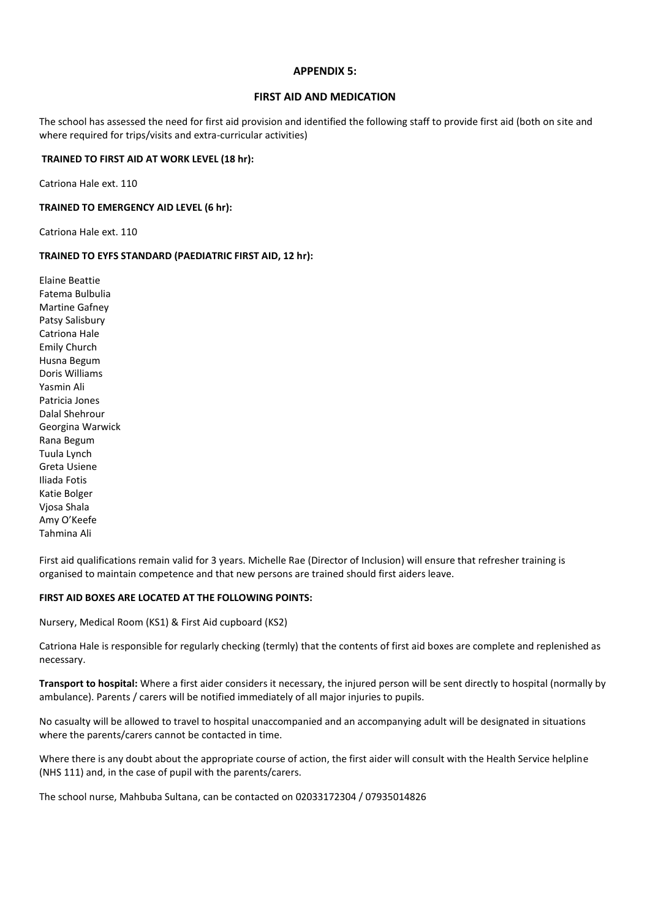#### **APPENDIX 5:**

#### **FIRST AID AND MEDICATION**

The school has assessed the need for first aid provision and identified the following staff to provide first aid (both on site and where required for trips/visits and extra-curricular activities)

#### **TRAINED TO FIRST AID AT WORK LEVEL (18 hr):**

Catriona Hale ext. 110

#### **TRAINED TO EMERGENCY AID LEVEL (6 hr):**

Catriona Hale ext. 110

#### **TRAINED TO EYFS STANDARD (PAEDIATRIC FIRST AID, 12 hr):**

Elaine Beattie Fatema Bulbulia Martine Gafney Patsy Salisbury Catriona Hale Emily Church Husna Begum Doris Williams Yasmin Ali Patricia Jones Dalal Shehrour Georgina Warwick Rana Begum Tuula Lynch Greta Usiene Iliada Fotis Katie Bolger Vjosa Shala Amy O'Keefe Tahmina Ali

First aid qualifications remain valid for 3 years. Michelle Rae (Director of Inclusion) will ensure that refresher training is organised to maintain competence and that new persons are trained should first aiders leave.

#### **FIRST AID BOXES ARE LOCATED AT THE FOLLOWING POINTS:**

Nursery, Medical Room (KS1) & First Aid cupboard (KS2)

Catriona Hale is responsible for regularly checking (termly) that the contents of first aid boxes are complete and replenished as necessary.

**Transport to hospital:** Where a first aider considers it necessary, the injured person will be sent directly to hospital (normally by ambulance). Parents / carers will be notified immediately of all major injuries to pupils.

No casualty will be allowed to travel to hospital unaccompanied and an accompanying adult will be designated in situations where the parents/carers cannot be contacted in time.

Where there is any doubt about the appropriate course of action, the first aider will consult with the Health Service helpline (NHS 111) and, in the case of pupil with the parents/carers.

The school nurse, Mahbuba Sultana, can be contacted on 02033172304 / 07935014826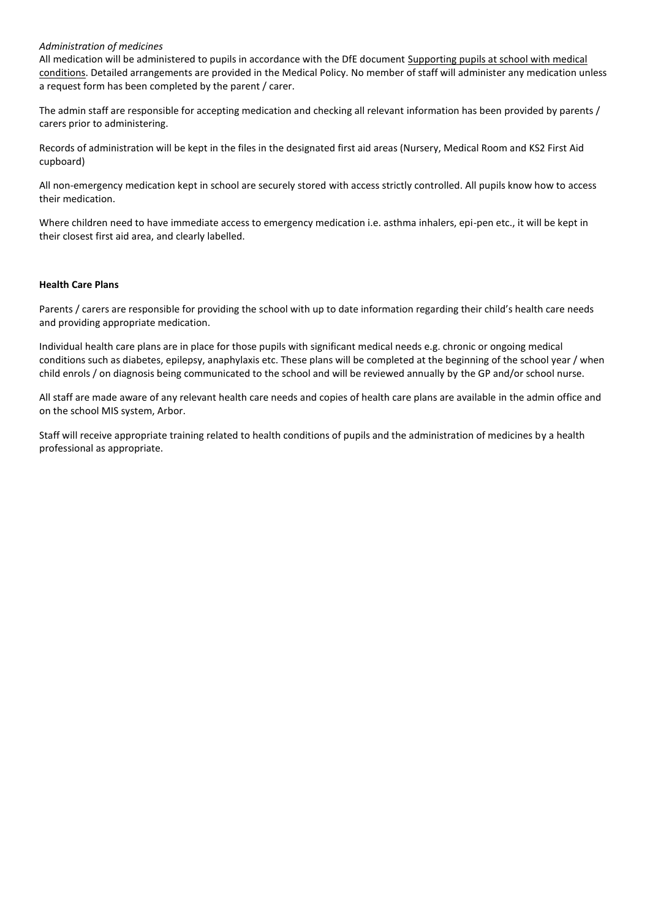#### *Administration of medicines*

All medication will be administered to pupils in accordance with the DfE document [Supporting pupils at school with medical](https://www.gov.uk/government/publications/supporting-pupils-at-school-with-medical-conditions--3)  [conditions.](https://www.gov.uk/government/publications/supporting-pupils-at-school-with-medical-conditions--3) Detailed arrangements are provided in the Medical Policy. No member of staff will administer any medication unless a request form has been completed by the parent / carer.

The admin staff are responsible for accepting medication and checking all relevant information has been provided by parents / carers prior to administering.

Records of administration will be kept in the files in the designated first aid areas (Nursery, Medical Room and KS2 First Aid cupboard)

All non-emergency medication kept in school are securely stored with access strictly controlled. All pupils know how to access their medication.

Where children need to have immediate access to emergency medication i.e. asthma inhalers, epi-pen etc., it will be kept in their closest first aid area, and clearly labelled.

#### **Health Care Plans**

Parents / carers are responsible for providing the school with up to date information regarding their child's health care needs and providing appropriate medication.

Individual health care plans are in place for those pupils with significant medical needs e.g. chronic or ongoing medical conditions such as diabetes, epilepsy, anaphylaxis etc. These plans will be completed at the beginning of the school year / when child enrols / on diagnosis being communicated to the school and will be reviewed annually by the GP and/or school nurse.

All staff are made aware of any relevant health care needs and copies of health care plans are available in the admin office and on the school MIS system, Arbor.

Staff will receive appropriate training related to health conditions of pupils and the administration of medicines by a health professional as appropriate.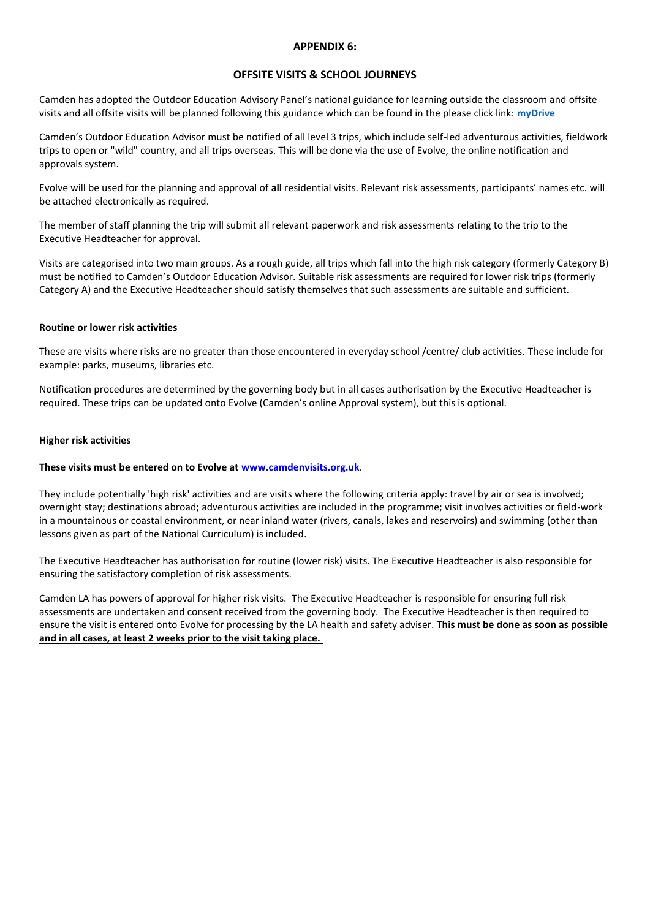#### **APPENDIX 6:**

#### **OFFSITE VISITS & SCHOOL JOURNEYS**

Camden has adopted the Outdoor Education Advisory Panel's national guidance for learning outside the classroom and offsite visits and all offsite visits will be planned following this guidance which can be found in the please click link: **[myDrive](https://my.uso.im/drive/folder/0)**

Camden's Outdoor Education Advisor must be notified of all level 3 trips, which include self-led adventurous activities, fieldwork trips to open or "wild" country, and all trips overseas. This will be done via the use of Evolve, the online notification and approvals system.

Evolve will be used for the planning and approval of **all** residential visits. Relevant risk assessments, participants' names etc. will be attached electronically as required.

The member of staff planning the trip will submit all relevant paperwork and risk assessments relating to the trip to the Executive Headteacher for approval.

Visits are categorised into two main groups. As a rough guide, all trips which fall into the high risk category (formerly Category B) must be notified to Camden's Outdoor Education Advisor. Suitable risk assessments are required for lower risk trips (formerly Category A) and the Executive Headteacher should satisfy themselves that such assessments are suitable and sufficient.

#### **Routine or lower risk activities**

These are visits where risks are no greater than those encountered in everyday school /centre/ club activities. These include for example: parks, museums, libraries etc.

Notification procedures are determined by the governing body but in all cases authorisation by the Executive Headteacher is required. These trips can be updated onto Evolve (Camden's online Approval system), but this is optional.

#### **Higher risk activities**

#### **These visits must be entered on to Evolve at [www.camdenvisits.org.uk](http://www.camdenvisits.org.uk/)**.

They include potentially 'high risk' activities and are visits where the following criteria apply: travel by air or sea is involved; overnight stay; destinations abroad; adventurous activities are included in the programme; visit involves activities or field-work in a mountainous or coastal environment, or near inland water (rivers, canals, lakes and reservoirs) and swimming (other than lessons given as part of the National Curriculum) is included.

The Executive Headteacher has authorisation for routine (lower risk) visits. The Executive Headteacher is also responsible for ensuring the satisfactory completion of risk assessments.

Camden LA has powers of approval for higher risk visits. The Executive Headteacher is responsible for ensuring full risk assessments are undertaken and consent received from the governing body. The Executive Headteacher is then required to ensure the visit is entered onto Evolve for processing by the LA health and safety adviser. **This must be done as soon as possible and in all cases, at least 2 weeks prior to the visit taking place.**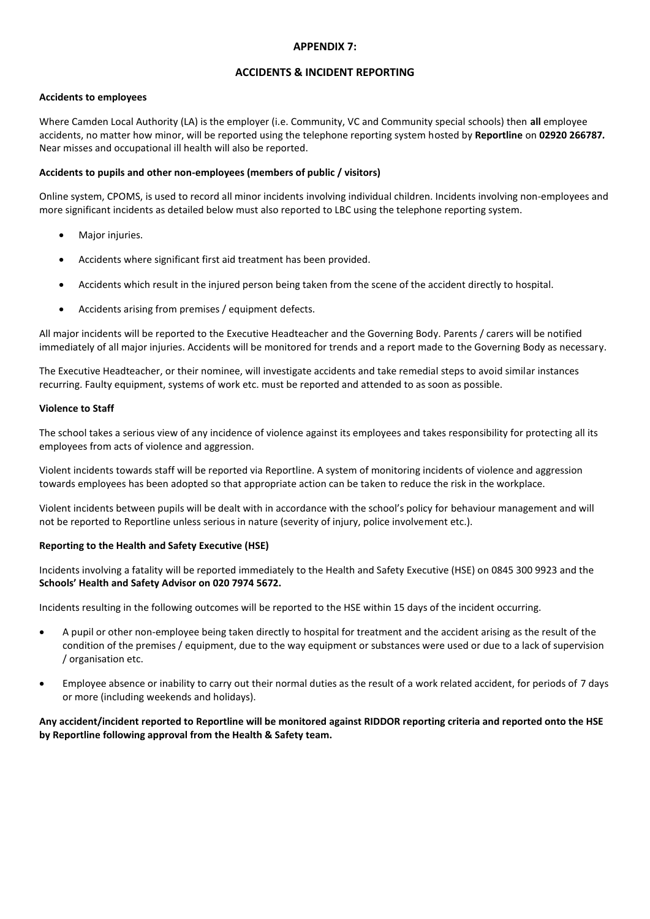#### **APPENDIX 7:**

#### **ACCIDENTS & INCIDENT REPORTING**

#### **Accidents to employees**

Where Camden Local Authority (LA) is the employer (i.e. Community, VC and Community special schools) then **all** employee accidents, no matter how minor, will be reported using the telephone reporting system hosted by **Reportline** on **02920 266787***.* Near misses and occupational ill health will also be reported.

#### **Accidents to pupils and other non-employees (members of public / visitors)**

Online system, CPOMS, is used to record all minor incidents involving individual children. Incidents involving non-employees and more significant incidents as detailed below must also reported to LBC using the telephone reporting system.

- Major injuries.
- Accidents where significant first aid treatment has been provided.
- Accidents which result in the injured person being taken from the scene of the accident directly to hospital.
- Accidents arising from premises / equipment defects.

All major incidents will be reported to the Executive Headteacher and the Governing Body. Parents / carers will be notified immediately of all major injuries. Accidents will be monitored for trends and a report made to the Governing Body as necessary.

The Executive Headteacher, or their nominee, will investigate accidents and take remedial steps to avoid similar instances recurring. Faulty equipment, systems of work etc. must be reported and attended to as soon as possible.

#### **Violence to Staff**

The school takes a serious view of any incidence of violence against its employees and takes responsibility for protecting all its employees from acts of violence and aggression.

Violent incidents towards staff will be reported via Reportline. A system of monitoring incidents of violence and aggression towards employees has been adopted so that appropriate action can be taken to reduce the risk in the workplace.

Violent incidents between pupils will be dealt with in accordance with the school's policy for behaviour management and will not be reported to Reportline unless serious in nature (severity of injury, police involvement etc.).

#### **Reporting to the Health and Safety Executive (HSE)**

Incidents involving a fatality will be reported immediately to the Health and Safety Executive (HSE) on 0845 300 9923 and the **Schools' Health and Safety Advisor on 020 7974 5672.**

Incidents resulting in the following outcomes will be reported to the HSE within 15 days of the incident occurring.

- A pupil or other non-employee being taken directly to hospital for treatment and the accident arising as the result of the condition of the premises / equipment, due to the way equipment or substances were used or due to a lack of supervision / organisation etc.
- Employee absence or inability to carry out their normal duties as the result of a work related accident, for periods of 7 days or more (including weekends and holidays).

#### **Any accident/incident reported to Reportline will be monitored against RIDDOR reporting criteria and reported onto the HSE by Reportline following approval from the Health & Safety team.**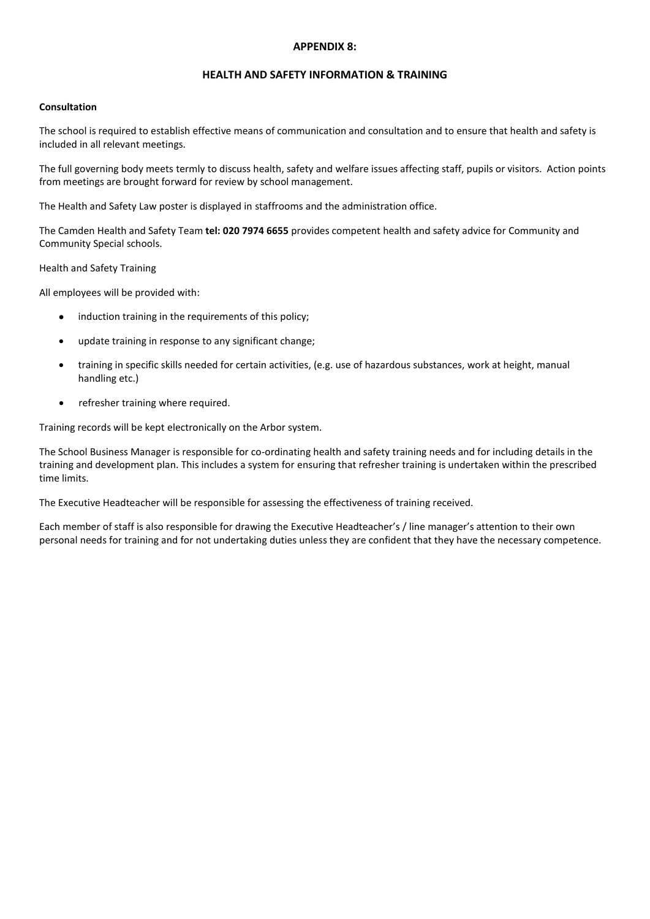#### **APPENDIX 8:**

#### **HEALTH AND SAFETY INFORMATION & TRAINING**

#### **Consultation**

The school is required to establish effective means of communication and consultation and to ensure that health and safety is included in all relevant meetings.

The full governing body meets termly to discuss health, safety and welfare issues affecting staff, pupils or visitors. Action points from meetings are brought forward for review by school management.

The Health and Safety Law poster is displayed in staffrooms and the administration office.

The Camden Health and Safety Team **tel: 020 7974 6655** provides competent health and safety advice for Community and Community Special schools.

Health and Safety Training

All employees will be provided with:

- induction training in the requirements of this policy;
- update training in response to any significant change;
- training in specific skills needed for certain activities, (e.g. use of hazardous substances, work at height, manual handling etc.)
- refresher training where required.

Training records will be kept electronically on the Arbor system.

The School Business Manager is responsible for co-ordinating health and safety training needs and for including details in the training and development plan. This includes a system for ensuring that refresher training is undertaken within the prescribed time limits.

The Executive Headteacher will be responsible for assessing the effectiveness of training received.

Each member of staff is also responsible for drawing the Executive Headteacher's / line manager's attention to their own personal needs for training and for not undertaking duties unless they are confident that they have the necessary competence.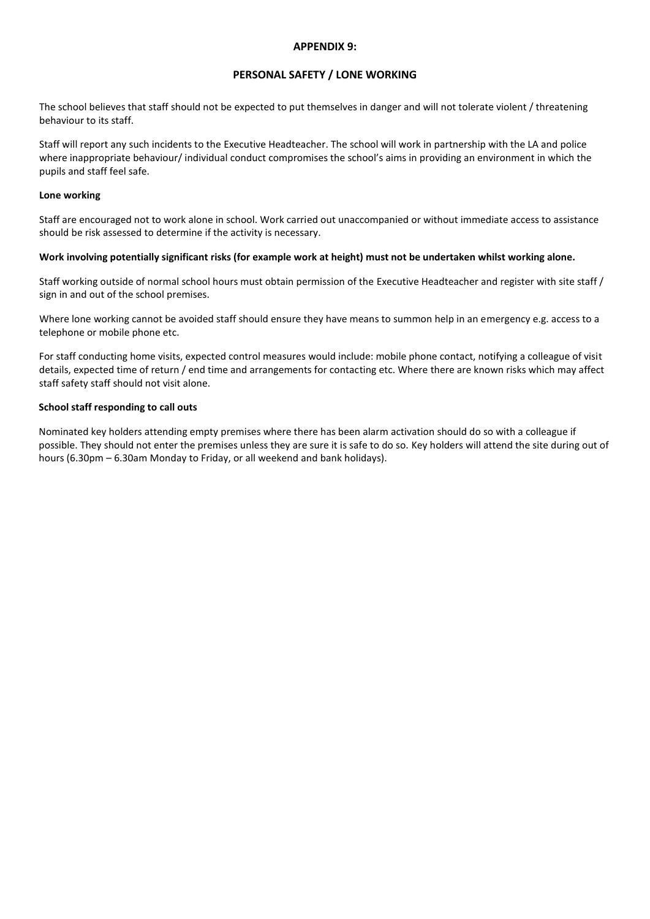#### **APPENDIX 9:**

#### **PERSONAL SAFETY / LONE WORKING**

The school believes that staff should not be expected to put themselves in danger and will not tolerate violent / threatening behaviour to its staff.

Staff will report any such incidents to the Executive Headteacher. The school will work in partnership with the LA and police where inappropriate behaviour/ individual conduct compromises the school's aims in providing an environment in which the pupils and staff feel safe.

#### **Lone working**

Staff are encouraged not to work alone in school. Work carried out unaccompanied or without immediate access to assistance should be risk assessed to determine if the activity is necessary.

#### **Work involving potentially significant risks (for example work at height) must not be undertaken whilst working alone.**

Staff working outside of normal school hours must obtain permission of the Executive Headteacher and register with site staff / sign in and out of the school premises.

Where lone working cannot be avoided staff should ensure they have means to summon help in an emergency e.g. access to a telephone or mobile phone etc.

For staff conducting home visits, expected control measures would include: mobile phone contact, notifying a colleague of visit details, expected time of return / end time and arrangements for contacting etc. Where there are known risks which may affect staff safety staff should not visit alone.

#### **School staff responding to call outs**

Nominated key holders attending empty premises where there has been alarm activation should do so with a colleague if possible. They should not enter the premises unless they are sure it is safe to do so. Key holders will attend the site during out of hours (6.30pm – 6.30am Monday to Friday, or all weekend and bank holidays).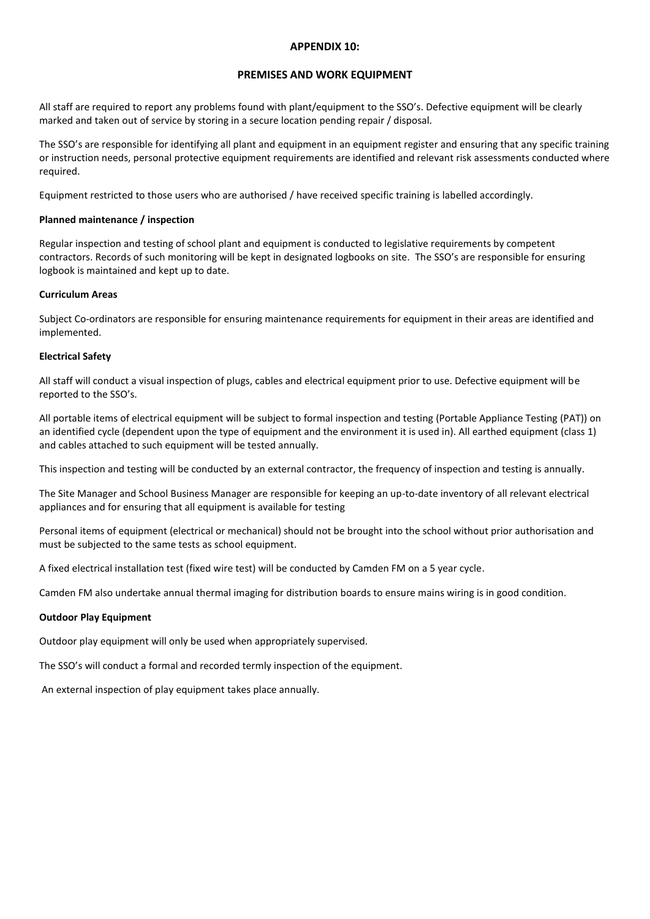#### **APPENDIX 10:**

#### **PREMISES AND WORK EQUIPMENT**

All staff are required to report any problems found with plant/equipment to the SSO's. Defective equipment will be clearly marked and taken out of service by storing in a secure location pending repair / disposal.

The SSO's are responsible for identifying all plant and equipment in an equipment register and ensuring that any specific training or instruction needs, personal protective equipment requirements are identified and relevant risk assessments conducted where required.

Equipment restricted to those users who are authorised / have received specific training is labelled accordingly.

#### **Planned maintenance / inspection**

Regular inspection and testing of school plant and equipment is conducted to legislative requirements by competent contractors. Records of such monitoring will be kept in designated logbooks on site. The SSO's are responsible for ensuring logbook is maintained and kept up to date.

#### **Curriculum Areas**

Subject Co-ordinators are responsible for ensuring maintenance requirements for equipment in their areas are identified and implemented.

#### **Electrical Safety**

All staff will conduct a visual inspection of plugs, cables and electrical equipment prior to use. Defective equipment will be reported to the SSO's.

All portable items of electrical equipment will be subject to formal inspection and testing (Portable Appliance Testing (PAT)) on an identified cycle (dependent upon the type of equipment and the environment it is used in). All earthed equipment (class 1) and cables attached to such equipment will be tested annually.

This inspection and testing will be conducted by an external contractor, the frequency of inspection and testing is annually.

The Site Manager and School Business Manager are responsible for keeping an up-to-date inventory of all relevant electrical appliances and for ensuring that all equipment is available for testing

Personal items of equipment (electrical or mechanical) should not be brought into the school without prior authorisation and must be subjected to the same tests as school equipment.

A fixed electrical installation test (fixed wire test) will be conducted by Camden FM on a 5 year cycle.

Camden FM also undertake annual thermal imaging for distribution boards to ensure mains wiring is in good condition.

#### **Outdoor Play Equipment**

Outdoor play equipment will only be used when appropriately supervised.

The SSO's will conduct a formal and recorded termly inspection of the equipment.

An external inspection of play equipment takes place annually.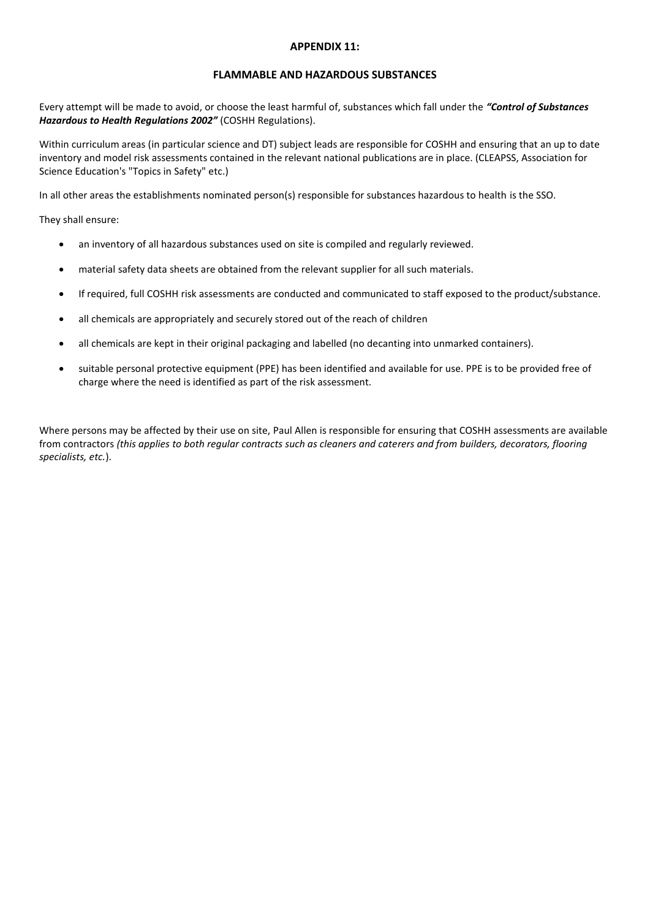#### **APPENDIX 11:**

#### **FLAMMABLE AND HAZARDOUS SUBSTANCES**

Every attempt will be made to avoid, or choose the least harmful of, substances which fall under the *"Control of Substances Hazardous to Health Regulations 2002"* (COSHH Regulations).

Within curriculum areas (in particular science and DT) subject leads are responsible for COSHH and ensuring that an up to date inventory and model risk assessments contained in the relevant national publications are in place. (CLEAPSS, Association for Science Education's "Topics in Safety" etc.)

In all other areas the establishments nominated person(s) responsible for substances hazardous to health is the SSO.

They shall ensure:

- an inventory of all hazardous substances used on site is compiled and regularly reviewed.
- material safety data sheets are obtained from the relevant supplier for all such materials.
- If required, full COSHH risk assessments are conducted and communicated to staff exposed to the product/substance.
- all chemicals are appropriately and securely stored out of the reach of children
- all chemicals are kept in their original packaging and labelled (no decanting into unmarked containers).
- suitable personal protective equipment (PPE) has been identified and available for use. PPE is to be provided free of charge where the need is identified as part of the risk assessment.

Where persons may be affected by their use on site, Paul Allen is responsible for ensuring that COSHH assessments are available from contractors *(this applies to both regular contracts such as cleaners and caterers and from builders, decorators, flooring specialists, etc.*).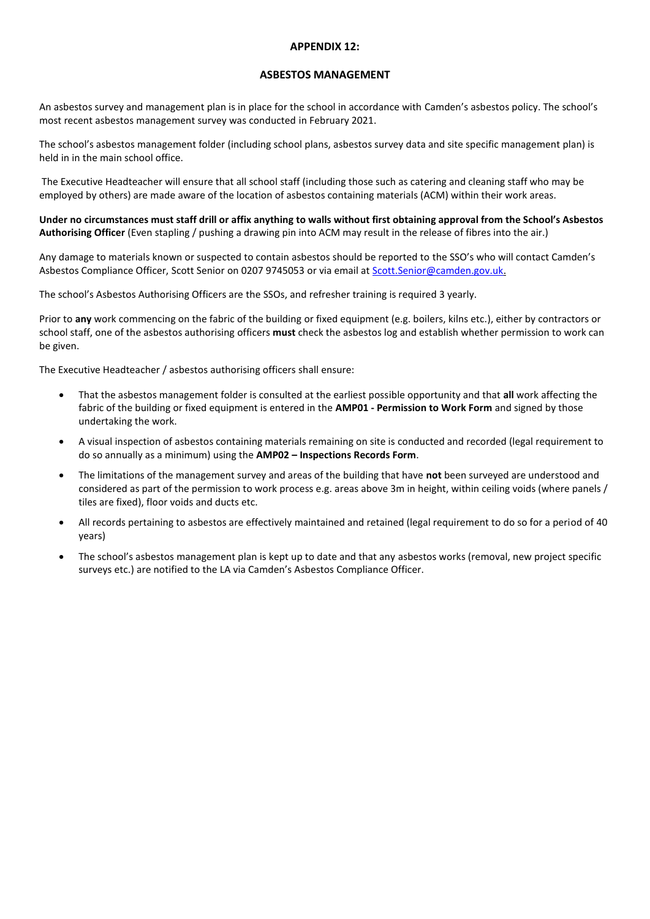#### **APPENDIX 12:**

#### **ASBESTOS MANAGEMENT**

An asbestos survey and management plan is in place for the school in accordance with Camden's [asbestos policy.](https://my.uso.im/drive/folder/0) The school's most recent asbestos management survey was conducted in February 2021.

The school's asbestos management folder (including school plans, asbestos survey data and site specific management plan) is held in in the main school office.

The Executive Headteacher will ensure that all school staff (including those such as catering and cleaning staff who may be employed by others) are made aware of the location of asbestos containing materials (ACM) within their work areas.

**Under no circumstances must staff drill or affix anything to walls without first obtaining approval from the School's Asbestos Authorising Officer** (Even stapling / pushing a drawing pin into ACM may result in the release of fibres into the air.)

Any damage to materials known or suspected to contain asbestos should be reported to the SSO's who will contact Camden's Asbestos Compliance Officer, Scott Senior on 0207 9745053 or via email at [Scott.Senior@camden.gov.uk.](mailto:Scott.Senior@camden.gov.uk)

The school's Asbestos Authorising Officers are the SSOs, and refresher training is required 3 yearly.

Prior to **any** work commencing on the fabric of the building or fixed equipment (e.g. boilers, kilns etc.), either by contractors or school staff, one of the asbestos authorising officers **must** check the asbestos log and establish whether permission to work can be given.

The Executive Headteacher / asbestos authorising officers shall ensure:

- That the asbestos management folder is consulted at the earliest possible opportunity and that **all** work affecting the fabric of the building or fixed equipment is entered in the **AMP01 - Permission to Work Form** and signed by those undertaking the work.
- A visual inspection of asbestos containing materials remaining on site is conducted and recorded (legal requirement to do so annually as a minimum) using the **AMP02 – Inspections Records Form**.
- The limitations of the management survey and areas of the building that have **not** been surveyed are understood and considered as part of the permission to work process e.g. areas above 3m in height, within ceiling voids (where panels / tiles are fixed), floor voids and ducts etc.
- All records pertaining to asbestos are effectively maintained and retained (legal requirement to do so for a period of 40 years)
- The school's asbestos management plan is kept up to date and that any asbestos works (removal, new project specific surveys etc.) are notified to the LA via Camden's Asbestos Compliance Officer.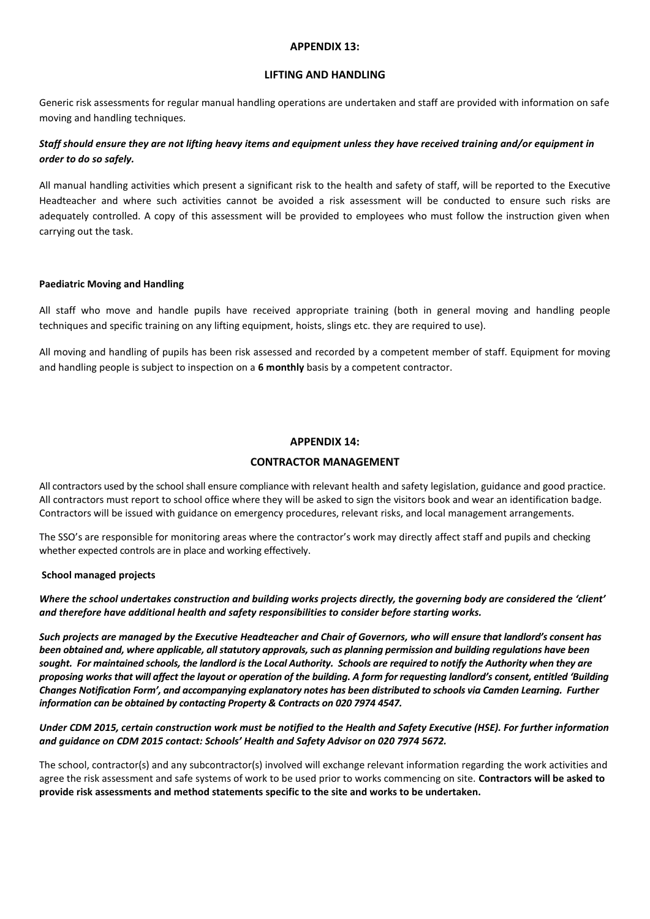#### **APPENDIX 13:**

#### **LIFTING AND HANDLING**

Generic risk assessments for regular manual handling operations are undertaken and staff are provided with information on safe moving and handling techniques.

#### *Staff should ensure they are not lifting heavy items and equipment unless they have received training and/or equipment in order to do so safely.*

All manual handling activities which present a significant risk to the health and safety of staff, will be reported to the Executive Headteacher and where such activities cannot be avoided a risk assessment will be conducted to ensure such risks are adequately controlled. A copy of this assessment will be provided to employees who must follow the instruction given when carrying out the task.

#### **Paediatric Moving and Handling**

All staff who move and handle pupils have received appropriate training (both in general moving and handling people techniques and specific training on any lifting equipment, hoists, slings etc. they are required to use).

All moving and handling of pupils has been risk assessed and recorded by a competent member of staff. Equipment for moving and handling people is subject to inspection on a **6 monthly** basis by a competent contractor.

#### **APPENDIX 14:**

#### **CONTRACTOR MANAGEMENT**

All contractors used by the school shall ensure compliance with relevant health and safety legislation, guidance and good practice. All contractors must report to school office where they will be asked to sign the visitors book and wear an identification badge. Contractors will be issued with guidance on emergency procedures, relevant risks, and local management arrangements.

The SSO's are responsible for monitoring areas where the contractor's work may directly affect staff and pupils and checking whether expected controls are in place and working effectively.

#### **School managed projects**

*Where the school undertakes construction and building works projects directly, the governing body are considered the 'client' and therefore have additional health and safety responsibilities to consider before starting works.* 

*Such projects are managed by the Executive Headteacher and Chair of Governors, who will ensure that landlord's consent has been obtained and, where applicable, all statutory approvals, such as planning permission and building regulations have been sought. For maintained schools, the landlord is the Local Authority. Schools are required to notify the Authority when they are proposing works that will affect the layout or operation of the building. A form for requesting landlord's consent, entitled 'Building Changes Notification Form', and accompanying explanatory notes has been distributed to schools via Camden Learning. Further information can be obtained by contacting Property & Contracts on 020 7974 4547.* 

*Under CDM 2015, certain construction work must be notified to the Health and Safety Executive (HSE). For further information and guidance on CDM 2015 contact: Schools' Health and Safety Advisor on 020 7974 5672.*

The school, contractor(s) and any subcontractor(s) involved will exchange relevant information regarding the work activities and agree the risk assessment and safe systems of work to be used prior to works commencing on site. **Contractors will be asked to provide risk assessments and method statements specific to the site and works to be undertaken.**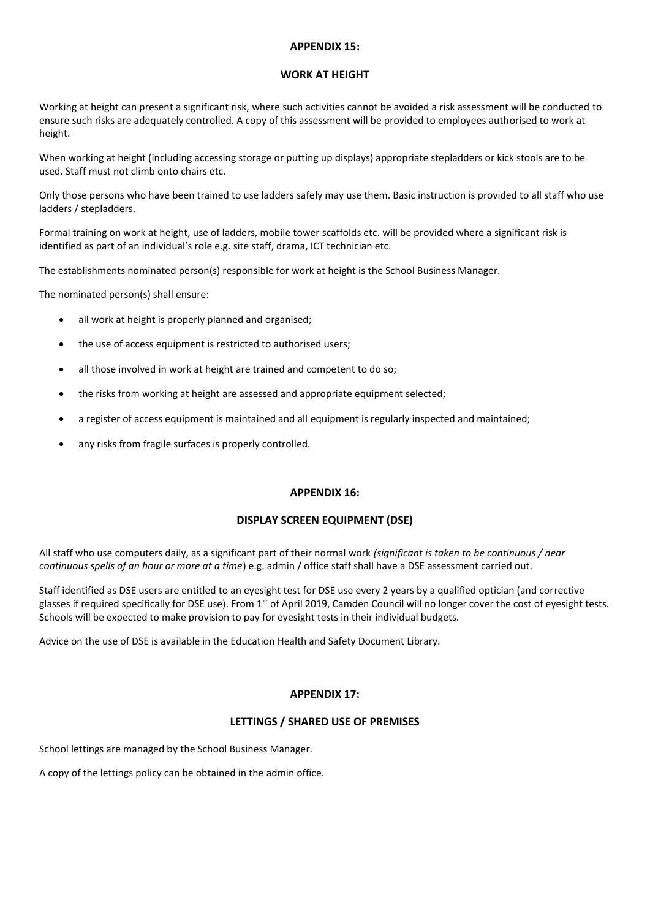#### **APPENDIX 15:**

#### **WORK AT HEIGHT**

Working at height can present a significant risk, where such activities cannot be avoided a risk assessment will be conducted to ensure such risks are adequately controlled. A copy of this assessment will be provided to employees authorised to work at height.

When working at height (including accessing storage or putting up displays) appropriate stepladders or kick stools are to be used. Staff must not climb onto chairs etc.

Only those persons who have been trained to use ladders safely may use them. Basic instruction is provided to all staff who use ladders / stepladders.

Formal training on work at height, use of ladders, mobile tower scaffolds etc. will be provided where a significant risk is identified as part of an individual's role e.g. site staff, drama, ICT technician etc.

The establishments nominated person(s) responsible for work at height is the School Business Manager.

The nominated person(s) shall ensure:

- all work at height is properly planned and organised;
- the use of access equipment is restricted to authorised users;
- all those involved in work at height are trained and competent to do so;
- the risks from working at height are assessed and appropriate equipment selected;
- a register of access equipment is maintained and all equipment is regularly inspected and maintained;
- any risks from fragile surfaces is properly controlled.

#### **APPENDIX 16:**

#### **DISPLAY SCREEN EQUIPMENT (DSE)**

All staff who use computers daily, as a significant part of their normal work *(significant is taken to be continuous / near continuous spells of an hour or more at a time*) e.g. admin / office staff shall have a DSE assessment carried out.

Staff identified as DSE users are entitled to an eyesight test for DSE use every 2 years by a qualified optician (and corrective glasses if required specifically for DSE use). From 1<sup>st</sup> of April 2019, Camden Council will no longer cover the cost of eyesight tests. Schools will be expected to make provision to pay for eyesight tests in their individual budgets.

Advice on the use of DSE is available in the [Education Health and Safety Document Library.](http://schoolsupportservices.camden.gov.uk/document-library/service/36/human-resources-payroll-and-health-and-safety/33/health-and-safety/?fdGotoPage_Documents_33=4)

#### **APPENDIX 17:**

#### **LETTINGS / SHARED USE OF PREMISES**

School lettings are managed by the School Business Manager.

A copy of the lettings policy can be obtained in the admin office.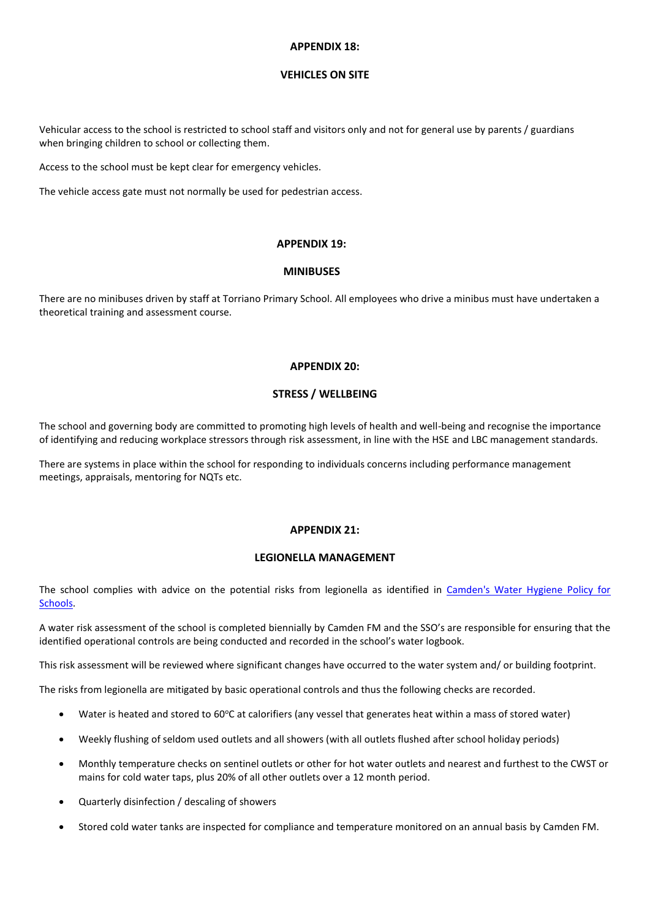#### **APPENDIX 18:**

#### **VEHICLES ON SITE**

Vehicular access to the school is restricted to school staff and visitors only and not for general use by parents / guardians when bringing children to school or collecting them.

Access to the school must be kept clear for emergency vehicles.

The vehicle access gate must not normally be used for pedestrian access.

#### **APPENDIX 19:**

#### **MINIBUSES**

There are no minibuses driven by staff at Torriano Primary School. All employees who drive a minibus must have undertaken a theoretical training and assessment course.

#### **APPENDIX 20:**

#### **STRESS / WELLBEING**

The school and governing body are committed to promoting high levels of health and well-being and recognise the importance of identifying and reducing workplace stressors through risk assessment, in line with the HSE and LBC management standards.

There are systems in place within the school for responding to individuals concerns including performance management meetings, appraisals, mentoring for NQTs etc.

#### **APPENDIX 21:**

#### **LEGIONELLA MANAGEMENT**

The school complies with advice on the potential risks from legionella as identified in [Camden's Water Hygiene Policy for](http://schoolsupportservices.camden.gov.uk/document-library/service/36/human-resources-payroll-and-health-and-safety/33/health-and-safety/?fdGotoPage_Documents_33=2)  [Schools.](http://schoolsupportservices.camden.gov.uk/document-library/service/36/human-resources-payroll-and-health-and-safety/33/health-and-safety/?fdGotoPage_Documents_33=2)

A water risk assessment of the school is completed biennially by Camden FM and the SSO's are responsible for ensuring that the identified operational controls are being conducted and recorded in the school's water logbook.

This risk assessment will be reviewed where significant changes have occurred to the water system and/ or building footprint.

The risks from legionella are mitigated by basic operational controls and thus the following checks are recorded.

- Water is heated and stored to  $60^{\circ}$ C at calorifiers (any vessel that generates heat within a mass of stored water)
- Weekly flushing of seldom used outlets and all showers (with all outlets flushed after school holiday periods)
- Monthly temperature checks on sentinel outlets or other for hot water outlets and nearest and furthest to the CWST or mains for cold water taps, plus 20% of all other outlets over a 12 month period.
- Quarterly disinfection / descaling of showers
- Stored cold water tanks are inspected for compliance and temperature monitored on an annual basis by Camden FM.